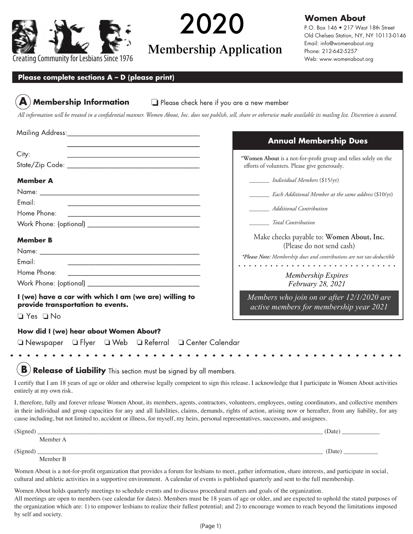

**2018 2019** 2020

# Membership Application Membership Application

## **Women About**

P.O. Box 146 • 217 West 18th Street Old Chelsea Station, NY, NY 10113-0146 Email: info@womenabout.org Phone: 212-642-5257 Web: www.womenabout.org

### **Please complete sections A – D (please print)**

## **Membership Information**

Please check here if you are a new member

*All information will be treated in a confidential manner. Women About, Inc. does not publish, sell, share or otherwise make available its mailing list. Discretion is assured.*

|                                                                                                                                 | <b>Annual Membership Dues</b>                                                         |
|---------------------------------------------------------------------------------------------------------------------------------|---------------------------------------------------------------------------------------|
| City:                                                                                                                           | *Women About is a not-for-profit group and relies solely on the                       |
|                                                                                                                                 | efforts of volunters. Please give generously.                                         |
| <b>Member A</b>                                                                                                                 | <i>Individual Members</i> (\$15/yr)                                                   |
|                                                                                                                                 | <i>____________ Each Additional Member at the same address</i> (\$10/yr)              |
| Email:                                                                                                                          |                                                                                       |
|                                                                                                                                 | <b>Additional Contribution</b>                                                        |
|                                                                                                                                 | <b>Total Contribution</b>                                                             |
| <b>Member B</b>                                                                                                                 | Make checks payable to: Women About, Inc.<br>(Please do not send cash)                |
|                                                                                                                                 | *Please Note: Membership dues and contributions are not tax-deductible                |
| Email:<br><u> 1989 - Johann Harry Harry Harry Harry Harry Harry Harry Harry Harry Harry Harry Harry Harry Harry Harry Harry</u> |                                                                                       |
| Home Phone:                                                                                                                     | <b>Membership Expires</b>                                                             |
|                                                                                                                                 | February 28, 2021                                                                     |
| I (we) have a car with which I am (we are) willing to<br>provide transportation to events.<br>$\Box$ Yes $\Box$ No              | Members who join on or after 12/1/2020 are<br>active members for membership year 2021 |
| How did I (we) hear about Women About?<br>$\Box$ Newspaper $\Box$ Flyer $\Box$ Web $\Box$ Referral $\Box$ Center Calendar       |                                                                                       |

B **Release of Liability** This section must be signed by all members.

I certify that I am 18 years of age or older and otherwise legally competent to sign this release. I acknowledge that I participate in Women About activities entirely at my own risk.

I, therefore, fully and forever release Women About, its members, agents, contractors, volunteers, employees, outing coordinators, and collective members in their individual and group capacities for any and all liabilities, claims, demands, rights of action, arising now or hereafter, from any liability, for any cause including, but not limited to, accident or illness, for myself, my heirs, personal representatives, successors, and assignees.

| (Signed) |          | (Date) |
|----------|----------|--------|
|          | Member A |        |
| (Signed) |          | (Date) |
|          | Member B |        |

Women About is a not-for-profit organization that provides a forum for lesbians to meet, gather information, share interests, and participate in social, cultural and athletic activities in a supportive environment. A calendar of events is published quarterly and sent to the full membership.

Women About holds quarterly meetings to schedule events and to discuss procedural matters and goals of the organization. All meetings are open to members (see calendar for dates). Members must be 18 years of age or older, and are expected to uphold the stated purposes of the organization which are: 1) to empower lesbians to realize their fullest potential; and 2) to encourage women to reach beyond the limitations imposed by self and society.